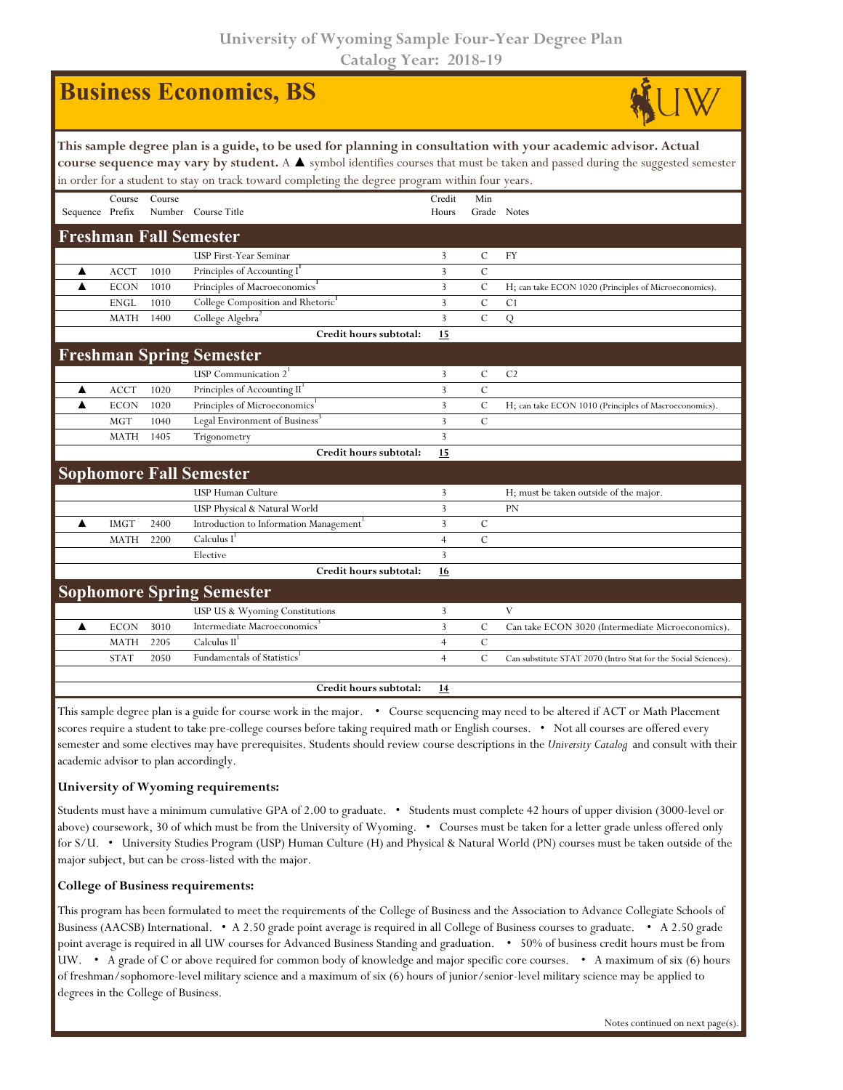**University of Wyoming Sample Four-Year Degree Plan Catalog Year: 2018-19**

|                                                                                                                                                                                                                                                                                                                                                                    |             |        | <b>Business Economics, BS</b>                 |                 |                |                                                                |  |  |  |  |
|--------------------------------------------------------------------------------------------------------------------------------------------------------------------------------------------------------------------------------------------------------------------------------------------------------------------------------------------------------------------|-------------|--------|-----------------------------------------------|-----------------|----------------|----------------------------------------------------------------|--|--|--|--|
| This sample degree plan is a guide, to be used for planning in consultation with your academic advisor. Actual<br>course sequence may vary by student. A $\blacktriangle$ symbol identifies courses that must be taken and passed during the suggested semester<br>in order for a student to stay on track toward completing the degree program within four years. |             |        |                                               |                 |                |                                                                |  |  |  |  |
| Sequence Prefix                                                                                                                                                                                                                                                                                                                                                    | Course      | Course | Number Course Title                           | Credit<br>Hours | Min            | Grade Notes                                                    |  |  |  |  |
|                                                                                                                                                                                                                                                                                                                                                                    |             |        | <b>Freshman Fall Semester</b>                 |                 |                |                                                                |  |  |  |  |
|                                                                                                                                                                                                                                                                                                                                                                    |             |        | USP First-Year Seminar                        | 3               | C              | <b>FY</b>                                                      |  |  |  |  |
| A                                                                                                                                                                                                                                                                                                                                                                  | <b>ACCT</b> | 1010   | Principles of Accounting I                    | 3               | $\mathcal{C}$  |                                                                |  |  |  |  |
| ▲                                                                                                                                                                                                                                                                                                                                                                  | <b>ECON</b> | 1010   | Principles of Macroeconomics <sup>1</sup>     | 3               | $\mathcal{C}$  | H; can take ECON 1020 (Principles of Microeconomics).          |  |  |  |  |
|                                                                                                                                                                                                                                                                                                                                                                    | <b>ENGL</b> | 1010   | College Composition and Rhetoric <sup>1</sup> | 3               | $\mathsf{C}$   | C <sub>1</sub>                                                 |  |  |  |  |
|                                                                                                                                                                                                                                                                                                                                                                    | <b>MATH</b> | 1400   | College Algebra <sup>2</sup>                  | 3               | $\mathcal{C}$  | Q                                                              |  |  |  |  |
|                                                                                                                                                                                                                                                                                                                                                                    |             |        | Credit hours subtotal:                        | 15              |                |                                                                |  |  |  |  |
|                                                                                                                                                                                                                                                                                                                                                                    |             |        | <b>Freshman Spring Semester</b>               |                 |                |                                                                |  |  |  |  |
|                                                                                                                                                                                                                                                                                                                                                                    |             |        | USP Communication $2^1$                       | 3               | C              | C <sub>2</sub>                                                 |  |  |  |  |
| ▲                                                                                                                                                                                                                                                                                                                                                                  | <b>ACCT</b> | 1020   | Principles of Accounting II                   | $\overline{3}$  | $\overline{C}$ |                                                                |  |  |  |  |
| ▲                                                                                                                                                                                                                                                                                                                                                                  | <b>ECON</b> | 1020   | Principles of Microeconomics                  | 3               | $\mathsf{C}$   | H; can take ECON 1010 (Principles of Macroeconomics).          |  |  |  |  |
|                                                                                                                                                                                                                                                                                                                                                                    | <b>MGT</b>  | 1040   | Legal Environment of Business <sup>3</sup>    | 3               | $\mathsf{C}$   |                                                                |  |  |  |  |
|                                                                                                                                                                                                                                                                                                                                                                    | <b>MATH</b> | 1405   | Trigonometry                                  | 3               |                |                                                                |  |  |  |  |
|                                                                                                                                                                                                                                                                                                                                                                    |             |        | Credit hours subtotal:                        | <b>15</b>       |                |                                                                |  |  |  |  |
|                                                                                                                                                                                                                                                                                                                                                                    |             |        | <b>Sophomore Fall Semester</b>                |                 |                |                                                                |  |  |  |  |
|                                                                                                                                                                                                                                                                                                                                                                    |             |        | <b>USP Human Culture</b>                      | 3               |                | H; must be taken outside of the major.                         |  |  |  |  |
|                                                                                                                                                                                                                                                                                                                                                                    |             |        | USP Physical & Natural World                  | 3               |                | <b>PN</b>                                                      |  |  |  |  |
| ▲                                                                                                                                                                                                                                                                                                                                                                  | <b>IMGT</b> | 2400   | Introduction to Information Management        | 3               | C              |                                                                |  |  |  |  |
|                                                                                                                                                                                                                                                                                                                                                                    | MATH        | 2200   | Calculus I                                    | $\overline{4}$  | $\mathcal{C}$  |                                                                |  |  |  |  |
|                                                                                                                                                                                                                                                                                                                                                                    |             |        | Elective                                      | 3               |                |                                                                |  |  |  |  |
|                                                                                                                                                                                                                                                                                                                                                                    |             |        | Credit hours subtotal:                        | 16              |                |                                                                |  |  |  |  |
|                                                                                                                                                                                                                                                                                                                                                                    |             |        | <b>Sophomore Spring Semester</b>              |                 |                |                                                                |  |  |  |  |
|                                                                                                                                                                                                                                                                                                                                                                    |             |        | USP US & Wyoming Constitutions                | 3               |                | V                                                              |  |  |  |  |
| ▲                                                                                                                                                                                                                                                                                                                                                                  | <b>ECON</b> | 3010   | Intermediate Macroeconomics                   | 3               | $\mathcal{C}$  | Can take ECON 3020 (Intermediate Microeconomics).              |  |  |  |  |
|                                                                                                                                                                                                                                                                                                                                                                    | <b>MATH</b> | 2205   | Calculus II                                   | $\overline{4}$  | $\mathcal{C}$  |                                                                |  |  |  |  |
|                                                                                                                                                                                                                                                                                                                                                                    | <b>STAT</b> | 2050   | <b>Fundamentals of Statistics</b>             | $\overline{4}$  | $\mathsf{C}$   | Can substitute STAT 2070 (Intro Stat for the Social Sciences). |  |  |  |  |
|                                                                                                                                                                                                                                                                                                                                                                    |             |        | Credit hours subtotal:                        | <u>14</u>       |                |                                                                |  |  |  |  |

This sample degree plan is a guide for course work in the major. • Course sequencing may need to be altered if ACT or Math Placement scores require a student to take pre-college courses before taking required math or English courses. • Not all courses are offered every semester and some electives may have prerequisites. Students should review course descriptions in the *University Catalog* and consult with their academic advisor to plan accordingly.

## **University of Wyoming requirements:**

Students must have a minimum cumulative GPA of 2.00 to graduate. • Students must complete 42 hours of upper division (3000-level or above) coursework, 30 of which must be from the University of Wyoming. • Courses must be taken for a letter grade unless offered only for S/U. • University Studies Program (USP) Human Culture (H) and Physical & Natural World (PN) courses must be taken outside of the major subject, but can be cross-listed with the major.

## **College of Business requirements:**

This program has been formulated to meet the requirements of the College of Business and the Association to Advance Collegiate Schools of Business (AACSB) International. • A 2.50 grade point average is required in all College of Business courses to graduate. • A 2.50 grade point average is required in all UW courses for Advanced Business Standing and graduation. • 50% of business credit hours must be from UW. • A grade of C or above required for common body of knowledge and major specific core courses. • A maximum of six (6) hours of freshman/sophomore-level military science and a maximum of six (6) hours of junior/senior-level military science may be applied to degrees in the College of Business.